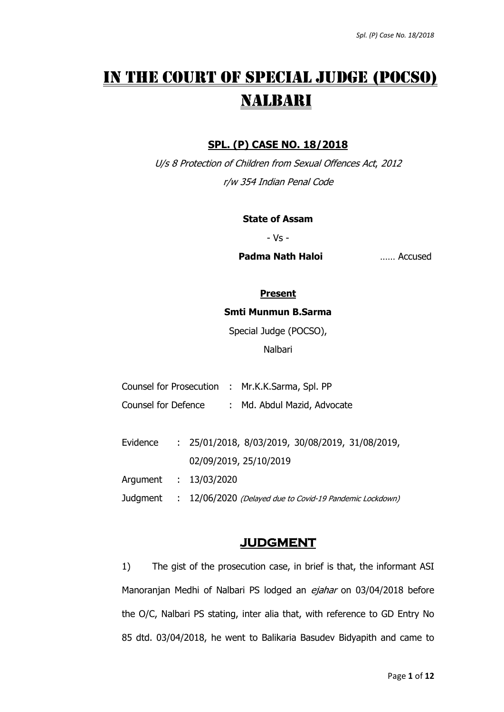# IN THE COURT OF SPECIAL JUDGE (POCSO) NALBARI

## **SPL. (P) CASE NO. 18/2018**

U/s 8 Protection of Children from Sexual Offences Act, 2012 r/w 354 Indian Penal Code

#### **State of Assam**

- Vs -

**Padma Nath Haloi** …… Accused

#### **Present**

### **Smti Munmun B.Sarma**

Special Judge (POCSO),

Nalbari

- Counsel for Prosecution : Mr.K.K.Sarma, Spl. PP
- Counsel for Defence : Md. Abdul Mazid, Advocate
- Evidence : 25/01/2018, 8/03/2019, 30/08/2019, 31/08/2019, 02/09/2019, 25/10/2019

Argument : 13/03/2020

Judgment : 12/06/2020 (Delayed due to Covid-19 Pandemic Lockdown)

## **JUDGMENT**

1) The gist of the prosecution case, in brief is that, the informant ASI Manoranjan Medhi of Nalbari PS lodged an ejahar on 03/04/2018 before the O/C, Nalbari PS stating, inter alia that, with reference to GD Entry No 85 dtd. 03/04/2018, he went to Balikaria Basudev Bidyapith and came to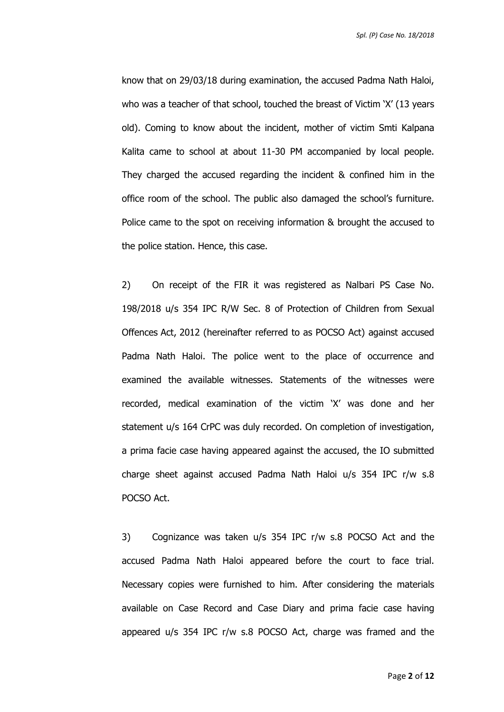*Spl. (P) Case No. 18/2018*

know that on 29/03/18 during examination, the accused Padma Nath Haloi, who was a teacher of that school, touched the breast of Victim 'X' (13 years old). Coming to know about the incident, mother of victim Smti Kalpana Kalita came to school at about 11-30 PM accompanied by local people. They charged the accused regarding the incident & confined him in the office room of the school. The public also damaged the school's furniture. Police came to the spot on receiving information & brought the accused to the police station. Hence, this case.

2) On receipt of the FIR it was registered as Nalbari PS Case No. 198/2018 u/s 354 IPC R/W Sec. 8 of Protection of Children from Sexual Offences Act, 2012 (hereinafter referred to as POCSO Act) against accused Padma Nath Haloi. The police went to the place of occurrence and examined the available witnesses. Statements of the witnesses were recorded, medical examination of the victim 'X' was done and her statement u/s 164 CrPC was duly recorded. On completion of investigation, a prima facie case having appeared against the accused, the IO submitted charge sheet against accused Padma Nath Haloi u/s 354 IPC r/w s.8 POCSO Act.

3) Cognizance was taken u/s 354 IPC r/w s.8 POCSO Act and the accused Padma Nath Haloi appeared before the court to face trial. Necessary copies were furnished to him. After considering the materials available on Case Record and Case Diary and prima facie case having appeared u/s 354 IPC r/w s.8 POCSO Act, charge was framed and the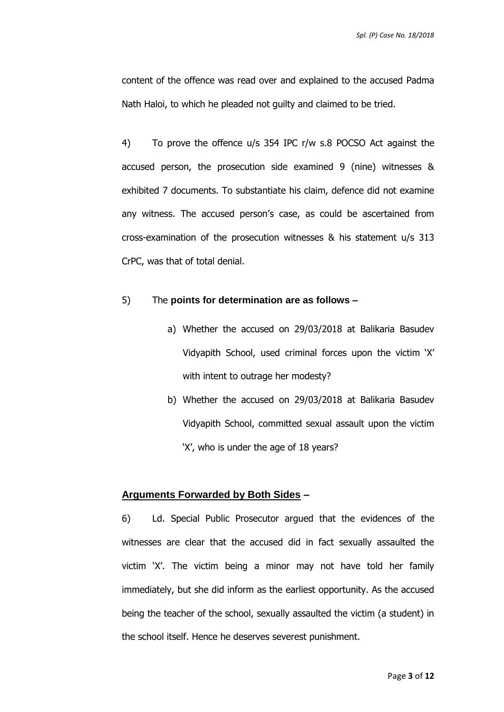content of the offence was read over and explained to the accused Padma Nath Haloi, to which he pleaded not guilty and claimed to be tried.

4) To prove the offence u/s 354 IPC r/w s.8 POCSO Act against the accused person, the prosecution side examined 9 (nine) witnesses & exhibited 7 documents. To substantiate his claim, defence did not examine any witness. The accused person's case, as could be ascertained from cross-examination of the prosecution witnesses & his statement u/s 313 CrPC, was that of total denial.

## 5) The **points for determination are as follows –**

- a) Whether the accused on 29/03/2018 at Balikaria Basudev Vidyapith School, used criminal forces upon the victim 'X' with intent to outrage her modesty?
- b) Whether the accused on 29/03/2018 at Balikaria Basudev Vidyapith School, committed sexual assault upon the victim 'X', who is under the age of 18 years?

#### **Arguments Forwarded by Both Sides –**

6) Ld. Special Public Prosecutor argued that the evidences of the witnesses are clear that the accused did in fact sexually assaulted the victim 'X'. The victim being a minor may not have told her family immediately, but she did inform as the earliest opportunity. As the accused being the teacher of the school, sexually assaulted the victim (a student) in the school itself. Hence he deserves severest punishment.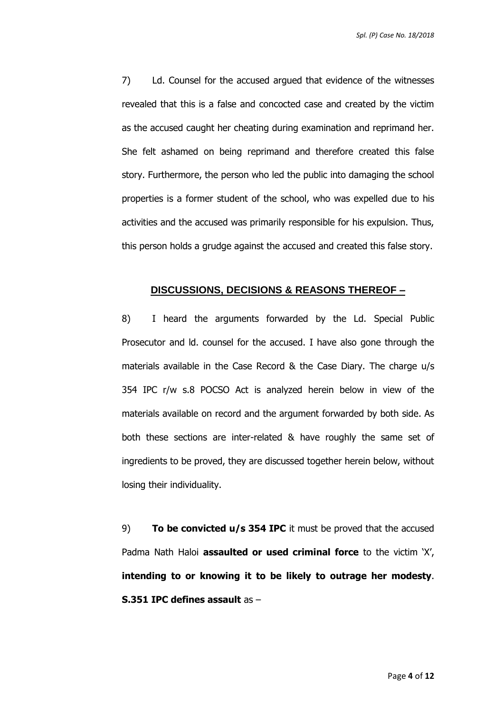7) Ld. Counsel for the accused argued that evidence of the witnesses revealed that this is a false and concocted case and created by the victim as the accused caught her cheating during examination and reprimand her. She felt ashamed on being reprimand and therefore created this false story. Furthermore, the person who led the public into damaging the school properties is a former student of the school, who was expelled due to his activities and the accused was primarily responsible for his expulsion. Thus, this person holds a grudge against the accused and created this false story.

#### **DISCUSSIONS, DECISIONS & REASONS THEREOF –**

8) I heard the arguments forwarded by the Ld. Special Public Prosecutor and ld. counsel for the accused. I have also gone through the materials available in the Case Record & the Case Diary. The charge u/s 354 IPC r/w s.8 POCSO Act is analyzed herein below in view of the materials available on record and the argument forwarded by both side. As both these sections are inter-related & have roughly the same set of ingredients to be proved, they are discussed together herein below, without losing their individuality.

9) **To be convicted u/s 354 IPC** it must be proved that the accused Padma Nath Haloi **assaulted or used criminal force** to the victim 'X', **intending to or knowing it to be likely to outrage her modesty**. **S.351 IPC defines assault** as –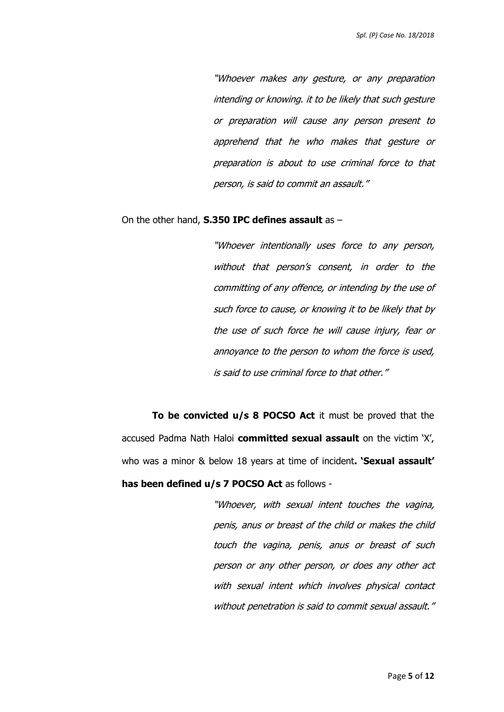"Whoever makes any gesture, or any preparation intending or knowing. it to be likely that such gesture or preparation will cause any person present to apprehend that he who makes that gesture or preparation is about to use criminal force to that person, is said to commit an assault."

#### On the other hand, **S.350 IPC defines assault** as –

"Whoever intentionally uses force to any person, without that person's consent, in order to the committing of any offence, or intending by the use of such force to cause, or knowing it to be likely that by the use of such force he will cause injury, fear or annoyance to the person to whom the force is used, is said to use criminal force to that other."

**To be convicted u/s 8 POCSO Act** it must be proved that the accused Padma Nath Haloi **committed sexual assault** on the victim 'X', who was a minor & below 18 years at time of incident**. 'Sexual assault' has been defined u/s 7 POCSO Act** as follows -

> "Whoever, with sexual intent touches the vagina, penis, anus or breast of the child or makes the child touch the vagina, penis, anus or breast of such person or any other person, or does any other act with sexual intent which involves physical contact without penetration is said to commit sexual assault."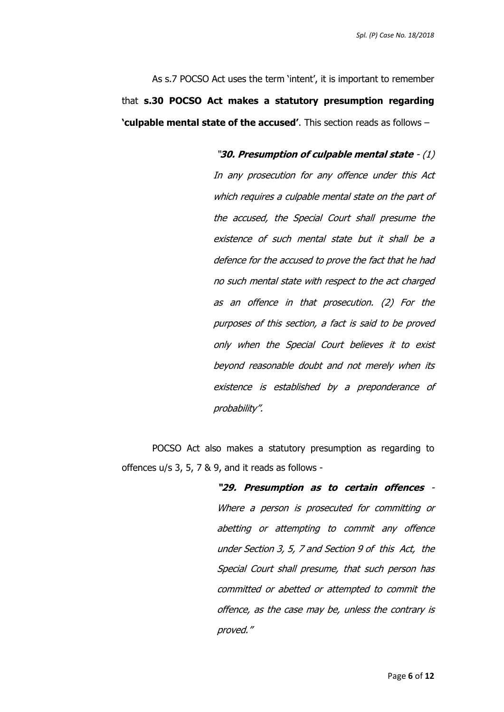As s.7 POCSO Act uses the term 'intent', it is important to remember that **s.30 POCSO Act makes a statutory presumption regarding 'culpable mental state of the accused'**. This section reads as follows –

> "**30. Presumption of culpable mental state** - (1) In any prosecution for any offence under this Act which requires a culpable mental state on the part of the accused, the Special Court shall presume the existence of such mental state but it shall be a defence for the accused to prove the fact that he had no such mental state with respect to the act charged as an offence in that prosecution. (2) For the purposes of this section, a fact is said to be proved only when the Special Court believes it to exist beyond reasonable doubt and not merely when its existence is established by a preponderance of probability".

POCSO Act also makes a statutory presumption as regarding to offences u/s 3, 5, 7 & 9, and it reads as follows -

> **"29. Presumption as to certain offences** - Where a person is prosecuted for committing or abetting or attempting to commit any offence under Section 3, 5, 7 and Section 9 of this Act, the Special Court shall presume, that such person has committed or abetted or attempted to commit the offence, as the case may be, unless the contrary is proved."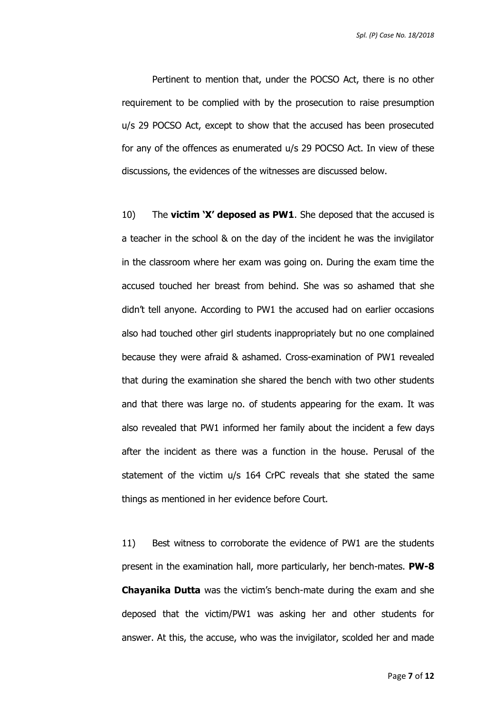*Spl. (P) Case No. 18/2018*

Pertinent to mention that, under the POCSO Act, there is no other requirement to be complied with by the prosecution to raise presumption u/s 29 POCSO Act, except to show that the accused has been prosecuted for any of the offences as enumerated u/s 29 POCSO Act. In view of these discussions, the evidences of the witnesses are discussed below.

10) The **victim 'X' deposed as PW1**. She deposed that the accused is a teacher in the school & on the day of the incident he was the invigilator in the classroom where her exam was going on. During the exam time the accused touched her breast from behind. She was so ashamed that she didn't tell anyone. According to PW1 the accused had on earlier occasions also had touched other girl students inappropriately but no one complained because they were afraid & ashamed. Cross-examination of PW1 revealed that during the examination she shared the bench with two other students and that there was large no. of students appearing for the exam. It was also revealed that PW1 informed her family about the incident a few days after the incident as there was a function in the house. Perusal of the statement of the victim u/s 164 CrPC reveals that she stated the same things as mentioned in her evidence before Court.

11) Best witness to corroborate the evidence of PW1 are the students present in the examination hall, more particularly, her bench-mates. **PW-8 Chayanika Dutta** was the victim's bench-mate during the exam and she deposed that the victim/PW1 was asking her and other students for answer. At this, the accuse, who was the invigilator, scolded her and made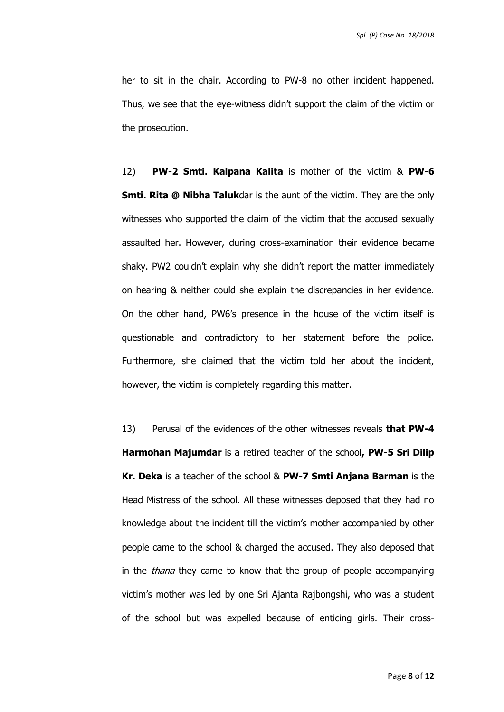her to sit in the chair. According to PW-8 no other incident happened. Thus, we see that the eye-witness didn't support the claim of the victim or the prosecution.

12) **PW-2 Smti. Kalpana Kalita** is mother of the victim & **PW-6 Smti. Rita @ Nibha Taluk**dar is the aunt of the victim. They are the only witnesses who supported the claim of the victim that the accused sexually assaulted her. However, during cross-examination their evidence became shaky. PW2 couldn't explain why she didn't report the matter immediately on hearing & neither could she explain the discrepancies in her evidence. On the other hand, PW6's presence in the house of the victim itself is questionable and contradictory to her statement before the police. Furthermore, she claimed that the victim told her about the incident, however, the victim is completely regarding this matter.

13) Perusal of the evidences of the other witnesses reveals **that PW-4 Harmohan Majumdar** is a retired teacher of the school**, PW-5 Sri Dilip Kr. Deka** is a teacher of the school & **PW-7 Smti Anjana Barman** is the Head Mistress of the school. All these witnesses deposed that they had no knowledge about the incident till the victim's mother accompanied by other people came to the school & charged the accused. They also deposed that in the *thana* they came to know that the group of people accompanying victim's mother was led by one Sri Ajanta Rajbongshi, who was a student of the school but was expelled because of enticing girls. Their cross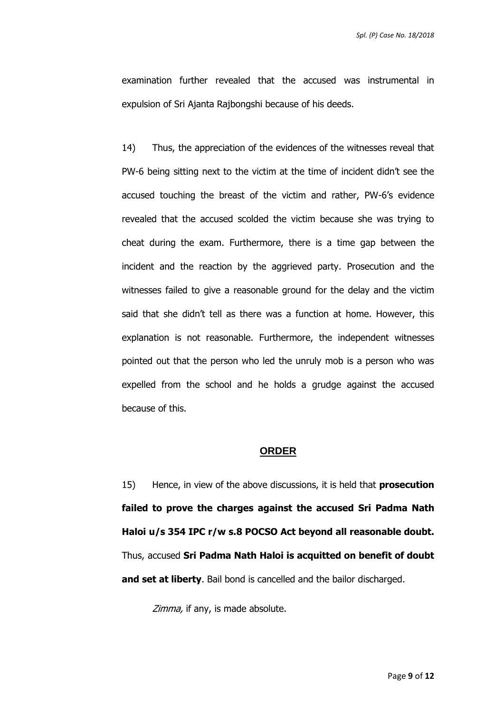examination further revealed that the accused was instrumental in expulsion of Sri Ajanta Rajbongshi because of his deeds.

14) Thus, the appreciation of the evidences of the witnesses reveal that PW-6 being sitting next to the victim at the time of incident didn't see the accused touching the breast of the victim and rather, PW-6's evidence revealed that the accused scolded the victim because she was trying to cheat during the exam. Furthermore, there is a time gap between the incident and the reaction by the aggrieved party. Prosecution and the witnesses failed to give a reasonable ground for the delay and the victim said that she didn't tell as there was a function at home. However, this explanation is not reasonable. Furthermore, the independent witnesses pointed out that the person who led the unruly mob is a person who was expelled from the school and he holds a grudge against the accused because of this.

#### **ORDER**

15) Hence, in view of the above discussions, it is held that **prosecution failed to prove the charges against the accused Sri Padma Nath Haloi u/s 354 IPC r/w s.8 POCSO Act beyond all reasonable doubt.** Thus, accused **Sri Padma Nath Haloi is acquitted on benefit of doubt and set at liberty**. Bail bond is cancelled and the bailor discharged.

Zimma, if any, is made absolute.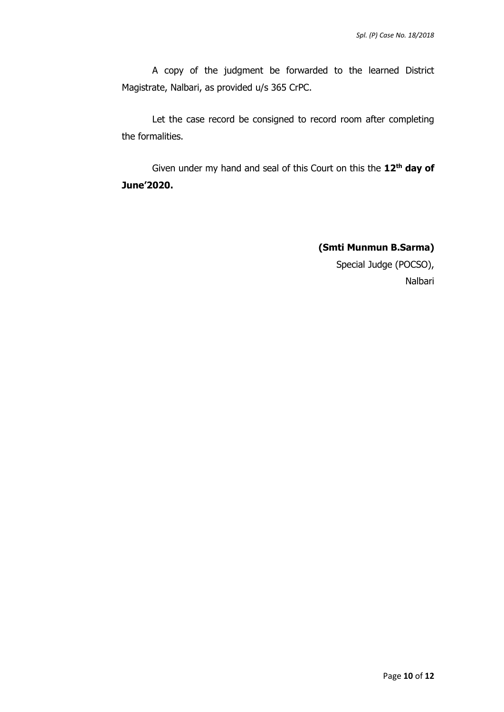A copy of the judgment be forwarded to the learned District Magistrate, Nalbari, as provided u/s 365 CrPC.

Let the case record be consigned to record room after completing the formalities.

Given under my hand and seal of this Court on this the 12<sup>th</sup> day of **June'2020.** 

> **(Smti Munmun B.Sarma)** Special Judge (POCSO), Nalbari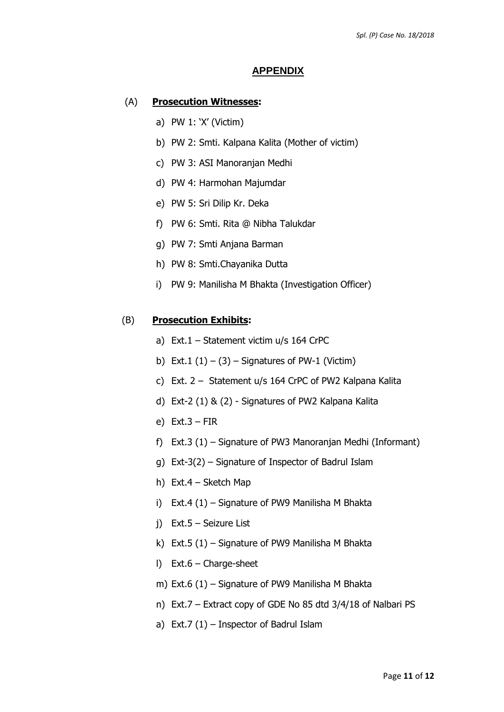#### **APPENDIX**

#### (A) **Prosecution Witnesses:**

- a) PW 1: 'X' (Victim)
- b) PW 2: Smti. Kalpana Kalita (Mother of victim)
- c) PW 3: ASI Manoranjan Medhi
- d) PW 4: Harmohan Majumdar
- e) PW 5: Sri Dilip Kr. Deka
- f) PW 6: Smti. Rita @ Nibha Talukdar
- g) PW 7: Smti Anjana Barman
- h) PW 8: Smti.Chayanika Dutta
- i) PW 9: Manilisha M Bhakta (Investigation Officer)

#### (B) **Prosecution Exhibits:**

- a) Ext.1 Statement victim u/s 164 CrPC
- b) Ext.1  $(1) (3)$  Signatures of PW-1 (Victim)
- c) Ext. 2 Statement u/s 164 CrPC of PW2 Kalpana Kalita
- d) Ext-2 (1) & (2) Signatures of PW2 Kalpana Kalita
- e) Ext.3 FIR
- f) Ext.3 (1) Signature of PW3 Manoranjan Medhi (Informant)
- g) Ext-3(2) Signature of Inspector of Badrul Islam
- h) Ext.4 Sketch Map
- i) Ext.4 (1) Signature of PW9 Manilisha M Bhakta
- j) Ext.5 Seizure List
- k) Ext.5 (1) Signature of PW9 Manilisha M Bhakta
- l) Ext.6 Charge-sheet
- m) Ext.6 (1) Signature of PW9 Manilisha M Bhakta
- n) Ext.7 Extract copy of GDE No 85 dtd 3/4/18 of Nalbari PS
- a) Ext.7 (1) Inspector of Badrul Islam